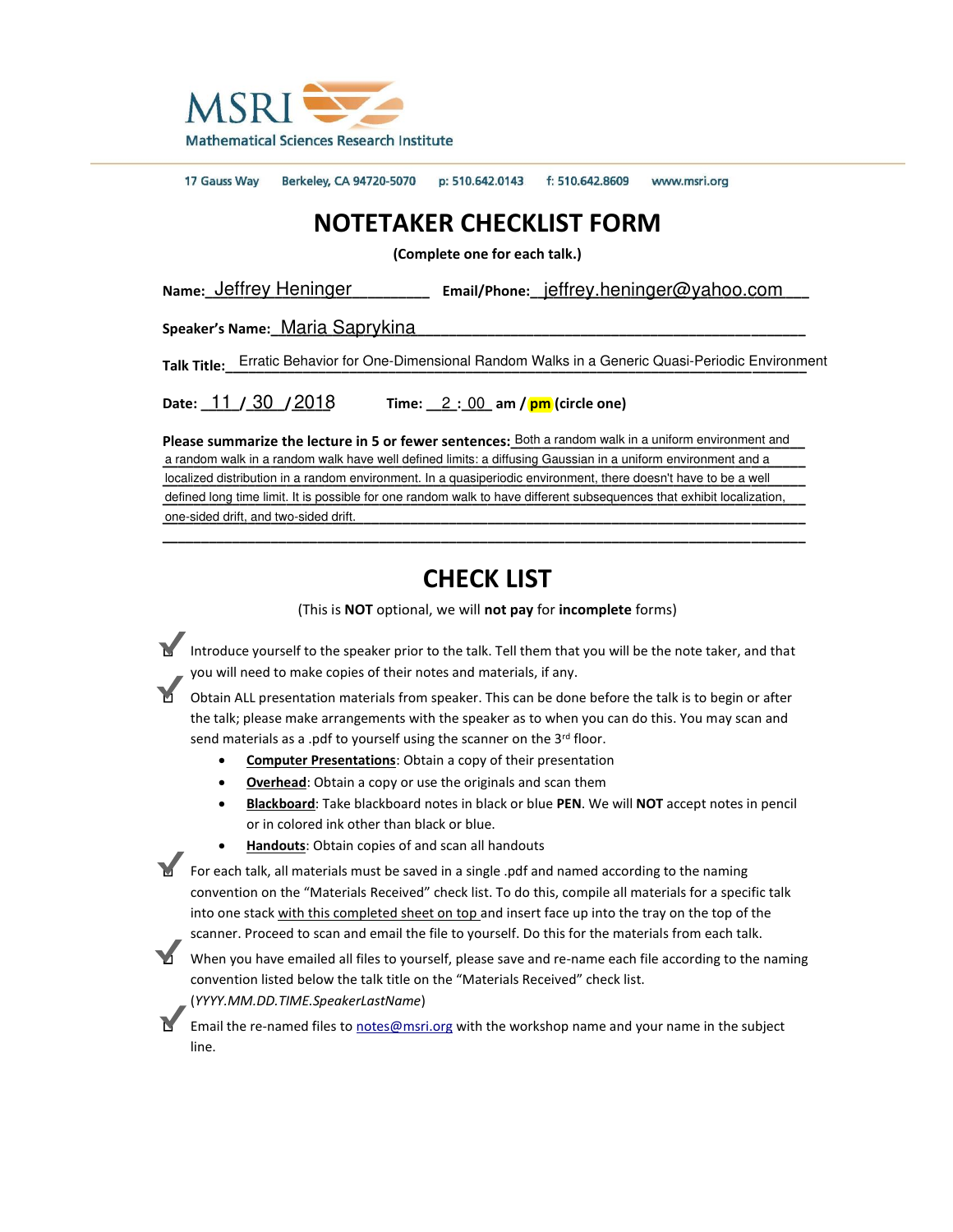

17 Gauss Way Berkeley, CA 94720-5070 p: 510.642.0143 f: 510.642.8609 www.msri.org

## **NOTETAKER CHECKLIST FORM**

**(Complete one for each talk.)**

Name: <u>Jeffrey Heninger</u> **Email/Phone: jeffrey.heninger@yahoo.com** 

Speaker's Name: Maria Saprykina

Talk Title: Erratic Behavior for One-Dimensional Random Walks in a Generic Quasi-Periodic Environment

**Date:**  $11 / 30 / 2018$  Time:  $2 : 00$  am / **pm** (circle one)

Please summarize the lecture in 5 or fewer sentences: Both a random walk in a uniform environment and a random walk in a random walk have well defined limits: a diffusing Gaussian in a uniform environment and a localized distribution in a random environment. In a quasiperiodic environment, there doesn't have to be a well defined long time limit. It is possible for one random walk to have different subsequences that exhibit localization, one-sided drift, and two-sided drift. le: <u>Jeffrey Heninger</u> Email/Phone: <u>jeffrey.heninger@yahoo.com Maria Saprykina enters wanter the lettere in Sortence in Sortence in Sortence in Sortence in Sortence in Sortence in Sortence in Sortence in Sortence in Sor</u> Date:  $\underline{\hspace{0.3cm}11}$  /  $\underline{\hspace{0.3cm}30}$  /  $\underline{\hspace{0.3cm}2018}$  Time:  $\underline{\hspace{0.3cm}2:00}$ <br>Please summarize the lecture in 5 or fewer senten<br>a random walk in a random walk have well defined limits: a<br>localized distributi

## **CHECK LIST**

**\_\_\_\_\_\_\_\_\_\_\_\_\_\_\_\_\_\_\_\_\_\_\_\_\_\_\_\_\_\_\_\_\_\_\_\_\_\_\_\_\_\_\_\_\_\_\_\_\_\_\_\_\_\_\_\_\_\_\_\_\_\_\_\_\_\_\_\_\_\_\_\_\_\_\_\_\_\_\_\_\_\_\_** 

(This is **NOT** optional, we will **not pay** for **incomplete** forms)

■ Introduce yourself to the speaker prior to the talk. Tell them that you will be the note taker, and that you will need to make copies of their notes and materials, if any.

□ Obtain ALL presentation materials from speaker. This can be done before the talk is to begin or after the talk; please make arrangements with the speaker as to when you can do this. You may scan and send materials as a .pdf to yourself using the scanner on the  $3^{rd}$  floor.

- **Computer Presentations**: Obtain a copy of their presentation
- **Overhead**: Obtain a copy or use the originals and scan them
- **Blackboard**: Take blackboard notes in black or blue **PEN**. We will **NOT** accept notes in pencil or in colored ink other than black or blue.
- **Handouts**: Obtain copies of and scan all handouts

■ For each talk, all materials must be saved in a single .pdf and named according to the naming convention on the "Materials Received" check list. To do this, compile all materials for a specific talk into one stack with this completed sheet on top and insert face up into the tray on the top of the scanner. Proceed to scan and email the file to yourself. Do this for the materials from each talk.

When you have emailed all files to yourself, please save and re-name each file according to the naming convention listed below the talk title on the "Materials Received" check list. (*YYYY.MM.DD.TIME.SpeakerLastName*)

Email the re-named files to [notes@msri.org](mailto:notes@msri.org) with the workshop name and your name in the subject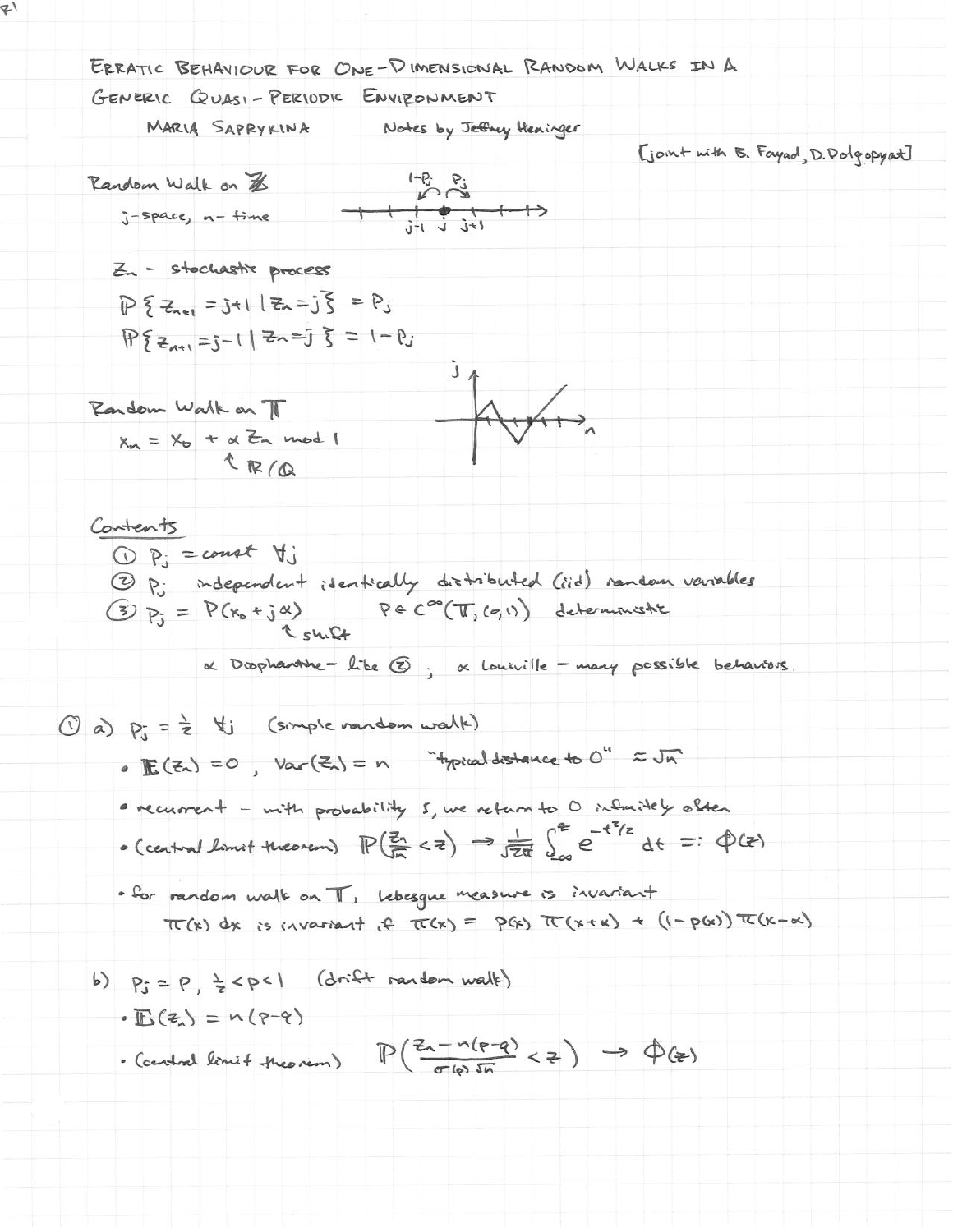$\mathcal{L}_{\mathcal{V}}$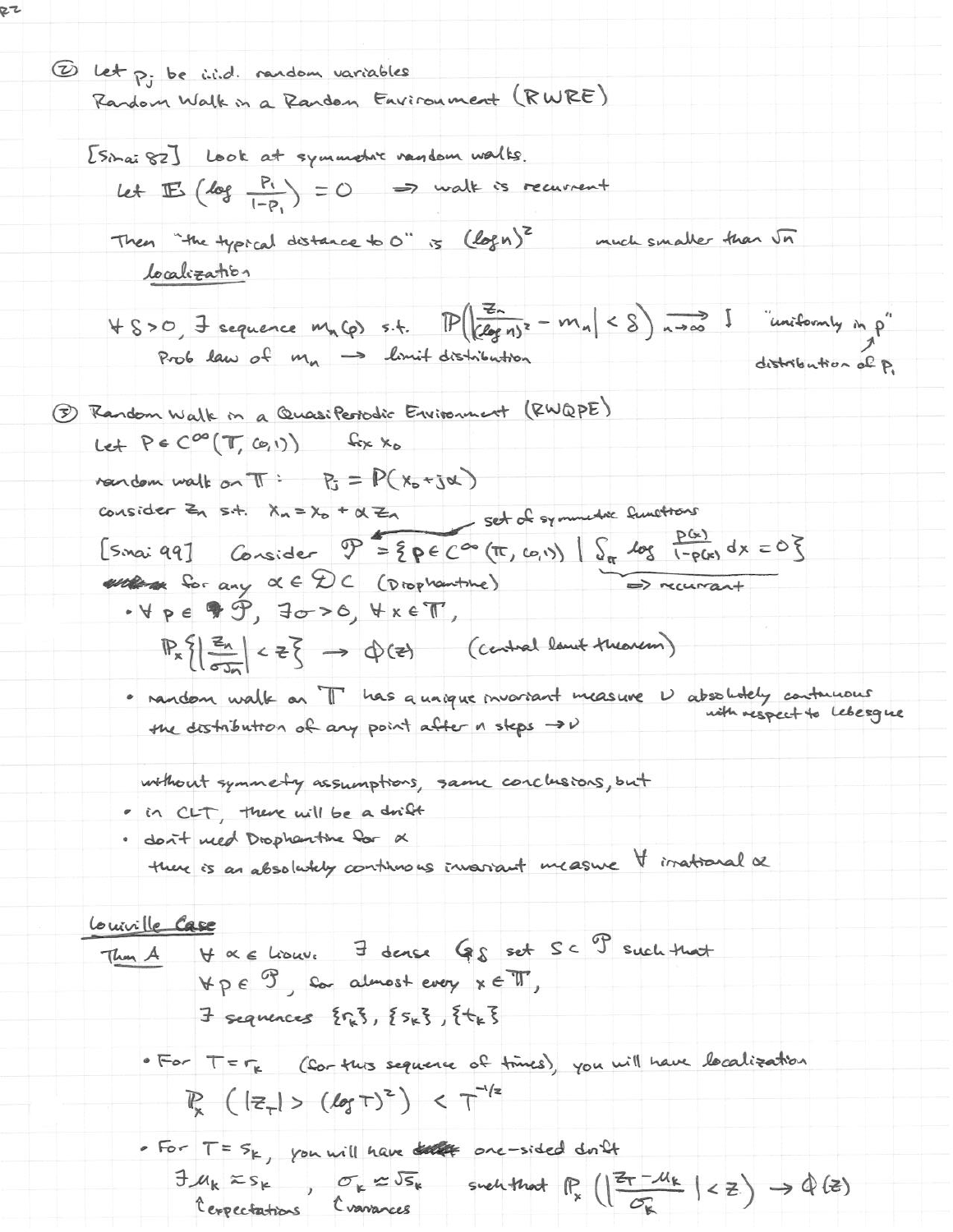10 let p. be i.i.d. random variables Random Walk in a Random Environment (RWRE) [Sinai 82] Look at symmetre random walks. Let  $\mathbb{E}$  (log  $\frac{P_1}{1-P_1}$ ) = 0 => walk is recurrent Then "the typical distance to 0" is (logn)<sup>2</sup> much smaller than  $\sqrt{n}$ localization  $4800$ , I sequence  $m_n(\rho)$  s.t.  $\mathbb{P}(\sqrt{\frac{z_n}{(log n)^2}-m_n}) < 8$ )  $n \to \infty$  I "uniformly  $m_\rho$ " Prob law of mn -> limit distribution distribution of P. 1 Random Walk in a Quasiferodic Environment (RWQPE) Let  $P \in C^{oo}(\mathbb{T}, \omega, \nu)$  fix  $x_0$ reaction walk on  $\pi$ :  $P_3 = P(x_0 + j\alpha)$ consider  $Z_n$  s.t.  $X_n = X_0 + \alpha Z_n$  set of symmetric functions [smai 99] Consider  $\mathcal{P} = \{ \rho \in C^{\infty}(\pi, \omega, v) \mid S_{\pi} \text{Log } \frac{\rho(x)}{1 - \rho(x)} dx = 0 \}$ entra for any  $\alpha \in \mathcal{D} \subset \text{(Droplantine)}$  $\Rightarrow$  recurrent  $\cdot$   $\forall$  pe  $\circ$   $\circ$ ,  $\exists \sigma$  > 0,  $\forall$   $x \in \mathbb{T}$ ,  $\mathbb{P}_{x}\left\{\left|\frac{z_{n}}{\sigma\mathbf{J}_{n}}\right|<\frac{1}{2}\right\} \implies \Phi(z)$  (central lamit theorem) · nandom walk on T has a unique invariant measure V absolutely continuous the distribution of any point after a steps  $\rightarrow \nu$ without symmetry assumptions, same conclusions, but · in CLT, there will be a drift · don't need Dropharthe for X there is an absolutely continuous invariant measure I irrational a Louiville Case Then A V a c hour. I dense Gs set Sc P such that  $\forall p \in \mathcal{F}$ , for almost every  $x \in \mathcal{T}$ ,  $\exists$  sequences  $\{r_{k}\}, \{s_{k}\}, \{t_{k}\}$ · For  $T = r_k$  (for this sequence of times), you will have localization  $\mathbb{P}_{\mathsf{x}}\left(\left|\mathbb{z}_{\tau}\right|>\left(\text{Log T}\right)^{2}\right)<\tau^{-1/2}$ . For  $T = S_{k}$ , you will have the one-sided don't  $\exists \mu_k \approx s_k$ ,  $\sigma_k \approx \sqrt{s_k}$  such that  $\mathbb{P}_k \left( \left| \frac{z_{\tau} - \mu_k}{\sigma_k} \right| < z \right) \rightarrow \hat{\Phi}(z)$ 

RZ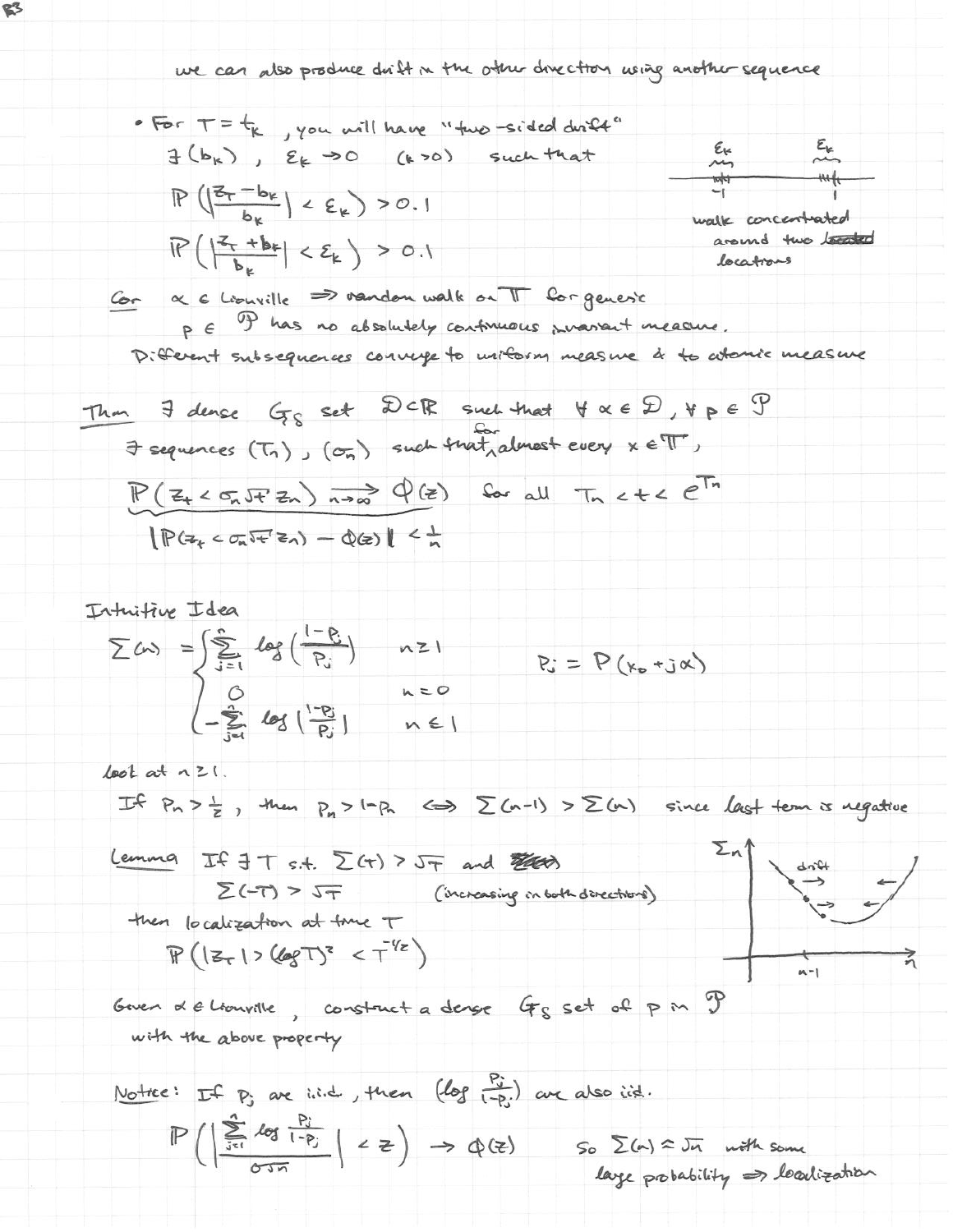we can also produce drift in the other direction using another sequence

For 
$$
T = t_k
$$
, you will have "two-sided divide"  
\n $\exists (b_k)$ ,  $\epsilon_k \rightarrow o$  (k $\rightarrow o$ ) such that  
\n $P(|\frac{z_t - b_k}{b_k}| < \epsilon_k$ ) > 0.1  
\n $P(|\frac{z_t + b_k}{b_k}| < \epsilon_k$ ) > 0.1  
\n $\text{double to the total}$ 

Cor & 6 Liouville => vandon walk on TT for generic P E P has no absolutely continuous provident measure. Different subsequences converge to uniform measure & to whenix measure

Thm. If dense 
$$
G_S
$$
 set  $DCR$  such that  $\forall \alpha \in D, \forall p \in P$ 

\nFig. (T<sub>1</sub>) ,  $(G_n)$  such that  $\forall \alpha \in D, \forall p \in P$ 

\n $\Rightarrow$  sequence (T<sub>1</sub>) ,  $(G_n)$  such that  $\forall \alpha \in P, \forall p \in P$ 

\n $\Rightarrow$   $P(Z_{+} < G_n F Z_n) \xrightarrow[n \Rightarrow \infty]{} Q(\ge)$  for all  $T_n < t < e^{T_n}$ 

\n $\Rightarrow$   $\exists P(Z_{+} < G_n F Z_n) = Q(\ge)$  for all  $T_n < t < e^{T_n}$ 

Intuitive Idea

\n
$$
\sum (x) = \int \sum_{j=1}^{n} \log \left( \frac{1 - p_j}{p_j} \right) \quad n \ge 1
$$
\n
$$
\sum_{j=1}^{n} \log \left( \frac{1 - p_j}{p_j} \right) \quad n \ge 0
$$
\n
$$
\sum_{j=1}^{n} \log \left( \frac{1 - p_j}{p_j} \right) \quad n \in I
$$

 $\text{lost}$  at  $\land$   $\geq$  1.

If  $P_n > \frac{1}{2}$ , then  $P_n > 1-P_n \iff \sum (n-1) > \sum (n)$  since last term is regardered

| Lemma                                              | IF 3T s.t. $\Sigma(f) > 5\tau$ and $\Sigma(f)$ | 2n |
|----------------------------------------------------|------------------------------------------------|----|
| $\Sigma(-T) > 5\tau$ (increasing in both directly) | 4n4                                            |    |
| Then, localization at time $T$                     | (increasing in both directly)                  |    |

$$
\mathbb{P}\left(\left|z_{\tau}\right|>\left\langle\log T\right\rangle^{z}<\tau^{\frac{1}{2}}\right)
$$

Goven & e Liouville, construct a dense Gs set of pm P with the above property

Notice: If P; are i.i.d., then 
$$
(log \frac{P_{ij}}{1-P_{ij}})
$$
 are also i.i.d.  
\n
$$
\mathbb{P}\left(\left|\frac{\sum_{j=1}^{n}log \frac{P_{ij}}{1-P_{ij}}}{0.3\pi}\right| < z\right) \rightarrow \Phi(z) \qquad \text{So } \Sigma(n) \approx \overline{J}n \text{ with some}
$$
\n
$$
layer probability \Rightarrow localization
$$